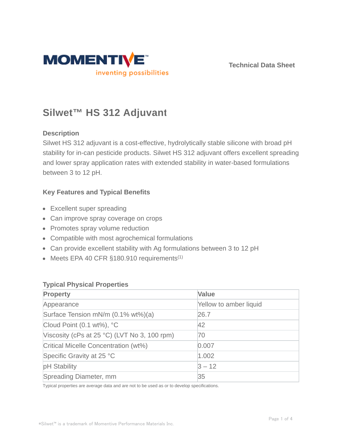

**Technical Data Sheet**

# **Silwet™ HS 312 Adjuvant**

# **Description**

Silwet HS 312 adjuvant is a cost-effective, hydrolytically stable silicone with broad pH stability for in-can pesticide products. Silwet HS 312 adjuvant offers excellent spreading and lower spray application rates with extended stability in water-based formulations between 3 to 12 pH.

# **Key Features and Typical Benefits**

- Excellent super spreading
- Can improve spray coverage on crops
- Promotes spray volume reduction
- Compatible with most agrochemical formulations
- Can provide excellent stability with Ag formulations between 3 to 12 pH
- $\bullet$  Meets EPA 40 CFR §180.910 requirements<sup>(1)</sup>

## **Typical Physical Properties**

| <b>Property</b>                              | <b>Value</b>           |
|----------------------------------------------|------------------------|
| Appearance                                   | Yellow to amber liquid |
| Surface Tension mN/m (0.1% wt%)(a)           | 26.7                   |
| Cloud Point (0.1 wt%), °C                    | 42                     |
| Viscosity (cPs at 25 °C) (LVT No 3, 100 rpm) | 70                     |
| Critical Micelle Concentration (wt%)         | 0.007                  |
| Specific Gravity at 25 °C                    | 1.002                  |
| pH Stability                                 | $3 - 12$               |
| Spreading Diameter, mm                       | 35                     |

Typical properties are average data and are not to be used as or to develop specifications.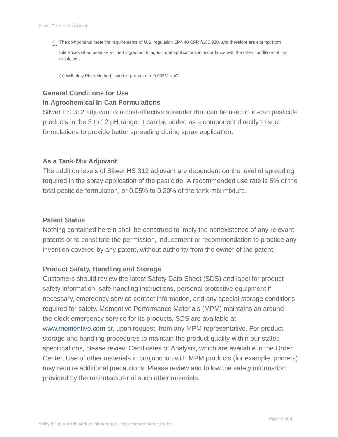The components meet the requirements of U.S. regulation EPA 40 CFR §180.920, and therefore are exempt from 1. tolerances when used as an inert ingredient in agricultural applications in accordance with the other conditions of that regulation.

(a) Wilhelmy Plate Method; solution prepared in 0.005M NaCl

# **General Conditions for Use**

#### **In Agrochemical In-Can Formulations**

Silwet HS 312 adjuvant is a cost-effective spreader that can be used in in-can pesticide products in the 3 to 12 pH range. It can be added as a component directly to such formulations to provide better spreading during spray application.

#### **As a Tank-Mix Adjuvant**

The addition levels of Silwet HS 312 adjuvant are dependent on the level of spreading required in the spray application of the pesticide. A recommended use rate is 5% of the total pesticide formulation, or 0.05% to 0.20% of the tank-mix mixture.

#### **Patent Status**

Nothing contained herein shall be construed to imply the nonexistence of any relevant patents or to constitute the permission, inducement or recommendation to practice any invention covered by any patent, without authority from the owner of the patent.

#### **Product Safety, Handling and Storage**

Customers should review the latest Safety Data Sheet (SDS) and label for product safety information, safe handling instructions, personal protective equipment if necessary, emergency service contact information, and any special storage conditions required for safety. Momentive Performance Materials (MPM) maintains an aroundthe-clock emergency service for its products. SDS are available at www.momentive.com or, upon request, from any MPM representative. For product storage and handling procedures to maintain the product quality within our stated specifications, please review Certificates of Analysis, which are available in the Order Center. Use of other materials in conjunction with MPM products (for example, primers) may require additional precautions. Please review and follow the safety information provided by the manufacturer of such other materials.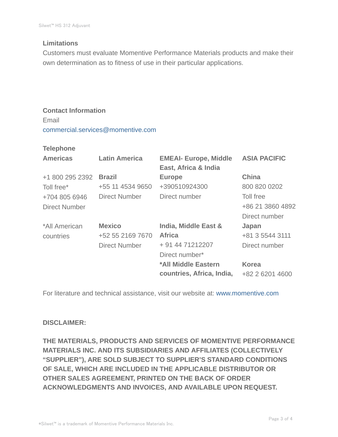## **Limitations**

Customers must evaluate Momentive Performance Materials products and make their own determination as to fitness of use in their particular applications.

# **Contact Information** Email commercial.services@momentive.com

#### **Telephone**

| <b>Latin America</b> | <b>EMEAI- Europe, Middle</b><br>East, Africa & India | <b>ASIA PACIFIC</b> |
|----------------------|------------------------------------------------------|---------------------|
| <b>Brazil</b>        | <b>Europe</b>                                        | <b>China</b>        |
| +55 11 4534 9650     | +390510924300                                        | 800 820 0202        |
| <b>Direct Number</b> | Direct number                                        | Toll free           |
|                      |                                                      | +86 21 3860 4892    |
|                      |                                                      | Direct number       |
| <b>Mexico</b>        | India, Middle East &                                 | Japan               |
| +52 55 2169 7670     | <b>Africa</b>                                        | +81 3 5544 3111     |
| <b>Direct Number</b> | + 91 44 71212207                                     | Direct number       |
|                      | Direct number*                                       |                     |
|                      | *All Middle Eastern                                  | <b>Korea</b>        |
|                      | countries, Africa, India,                            | +82 2 6201 4600     |
|                      |                                                      |                     |

For literature and technical assistance, visit our website at: www.momentive.com

## **DISCLAIMER:**

**THE MATERIALS, PRODUCTS AND SERVICES OF MOMENTIVE PERFORMANCE MATERIALS INC. AND ITS SUBSIDIARIES AND AFFILIATES (COLLECTIVELY "SUPPLIER"), ARE SOLD SUBJECT TO SUPPLIER'S STANDARD CONDITIONS OF SALE, WHICH ARE INCLUDED IN THE APPLICABLE DISTRIBUTOR OR OTHER SALES AGREEMENT, PRINTED ON THE BACK OF ORDER ACKNOWLEDGMENTS AND INVOICES, AND AVAILABLE UPON REQUEST.**